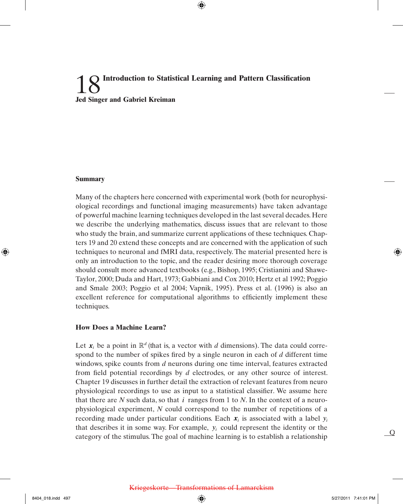# **Introduction to Statistical Learning and Pattern Classification Jed Singer and Gabriel Kreiman** 18

 $\bigoplus$ 

#### **Summary**

Many of the chapters here concerned with experimental work (both for neurophysiological recordings and functional imaging measurements) have taken advantage of powerful machine learning techniques developed in the last several decades. Here we describe the underlying mathematics, discuss issues that are relevant to those who study the brain, and summarize current applications of these techniques. Chapters 19 and 20 extend these concepts and are concerned with the application of such techniques to neuronal and fMRI data, respectively. The material presented here is only an introduction to the topic, and the reader desiring more thorough coverage should consult more advanced textbooks (e.g., Bishop, 1995; Cristianini and Shawe-Taylor, 2000; Duda and Hart, 1973; Gabbiani and Cox 2010; Hertz et al 1992; Poggio and Smale 2003; Poggio et al 2004; Vapnik, 1995). Press et al. (1996) is also an excellent reference for computational algorithms to efficiently implement these techniques.

## **How Does a Machine Learn?**

Let  $\mathbf{x}_i$  be a point in  $\mathbb{R}^d$  (that is, a vector with *d* dimensions). The data could correspond to the number of spikes fired by a single neuron in each of *d* different time windows, spike counts from *d* neurons during one time interval, features extracted from field potential recordings by *d* electrodes, or any other source of interest. Chapter 19 discusses in further detail the extraction of relevant features from neuro physiological recordings to use as input to a statistical classifier. We assume here that there are *N* such data, so that *i* ranges from 1 to *N*. In the context of a neurophysiological experiment, *N* could correspond to the number of repetitions of a recording made under particular conditions. Each  $x_i$  is associated with a label  $y_i$ that describes it in some way. For example,  $y_i$  could represent the identity or the category of the stimulus. The goal of machine learning is to establish a relationship

⊕

 $\Omega$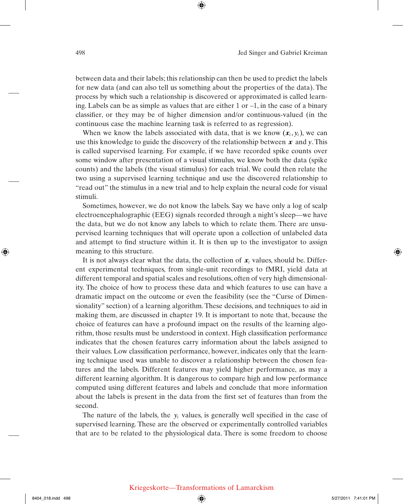between data and their labels; this relationship can then be used to predict the labels for new data (and can also tell us something about the properties of the data). The process by which such a relationship is discovered or approximated is called learning. Labels can be as simple as values that are either  $1$  or  $-1$ , in the case of a binary classifier, or they may be of higher dimension and/or continuous-valued (in the continuous case the machine learning task is referred to as regression).

 $\bigoplus$ 

When we know the labels associated with data, that is we know  $(x_i, y_i)$ , we can use this knowledge to guide the discovery of the relationship between *x* and *y*. This is called supervised learning. For example, if we have recorded spike counts over some window after presentation of a visual stimulus, we know both the data (spike counts) and the labels (the visual stimulus) for each trial. We could then relate the two using a supervised learning technique and use the discovered relationship to "read out" the stimulus in a new trial and to help explain the neural code for visual stimuli.

Sometimes, however, we do not know the labels. Say we have only a log of scalp electroencephalographic (EEG) signals recorded through a night's sleep—we have the data, but we do not know any labels to which to relate them. There are unsupervised learning techniques that will operate upon a collection of unlabeled data and attempt to find structure within it. It is then up to the investigator to assign meaning to this structure.

It is not always clear what the data, the collection of  $x_i$  values, should be. Different experimental techniques, from single-unit recordings to fMRI, yield data at different temporal and spatial scales and resolutions, often of very high dimensionality. The choice of how to process these data and which features to use can have a dramatic impact on the outcome or even the feasibility (see the "Curse of Dimensionality" section) of a learning algorithm. These decisions, and techniques to aid in making them, are discussed in chapter 19. It is important to note that, because the choice of features can have a profound impact on the results of the learning algorithm, those results must be understood in context. High classification performance indicates that the chosen features carry information about the labels assigned to their values. Low classification performance, however, indicates only that the learning technique used was unable to discover a relationship between the chosen features and the labels. Different features may yield higher performance, as may a different learning algorithm. It is dangerous to compare high and low performance computed using different features and labels and conclude that more information about the labels is present in the data from the first set of features than from the second.

The nature of the labels, the  $y_i$  values, is generally well specified in the case of supervised learning. These are the observed or experimentally controlled variables that are to be related to the physiological data. There is some freedom to choose

⊕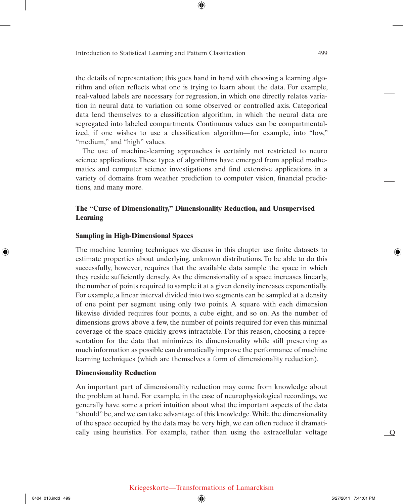the details of representation; this goes hand in hand with choosing a learning algorithm and often reflects what one is trying to learn about the data. For example, real-valued labels are necessary for regression, in which one directly relates variation in neural data to variation on some observed or controlled axis. Categorical data lend themselves to a classification algorithm, in which the neural data are segregated into labeled compartments. Continuous values can be compartmentalized, if one wishes to use a classification algorithm—for example, into "low," "medium," and "high" values.

 $\bigoplus$ 

The use of machine-learning approaches is certainly not restricted to neuro science applications. These types of algorithms have emerged from applied mathematics and computer science investigations and find extensive applications in a variety of domains from weather prediction to computer vision, financial predictions, and many more.

## **The "Curse of Dimensionality," Dimensionality Reduction, and Unsupervised Learning**

#### **Sampling in High-Dimensional Spaces**

The machine learning techniques we discuss in this chapter use finite datasets to estimate properties about underlying, unknown distributions. To be able to do this successfully, however, requires that the available data sample the space in which they reside sufficiently densely. As the dimensionality of a space increases linearly, the number of points required to sample it at a given density increases exponentially. For example, a linear interval divided into two segments can be sampled at a density of one point per segment using only two points. A square with each dimension likewise divided requires four points, a cube eight, and so on. As the number of dimensions grows above a few, the number of points required for even this minimal coverage of the space quickly grows intractable. For this reason, choosing a representation for the data that minimizes its dimensionality while still preserving as much information as possible can dramatically improve the performance of machine learning techniques (which are themselves a form of dimensionality reduction).

## **Dimensionality Reduction**

An important part of dimensionality reduction may come from knowledge about the problem at hand. For example, in the case of neurophysiological recordings, we generally have some a priori intuition about what the important aspects of the data "should" be, and we can take advantage of this knowledge. While the dimensionality of the space occupied by the data may be very high, we can often reduce it dramatically using heuristics. For example, rather than using the extracellular voltage

⊕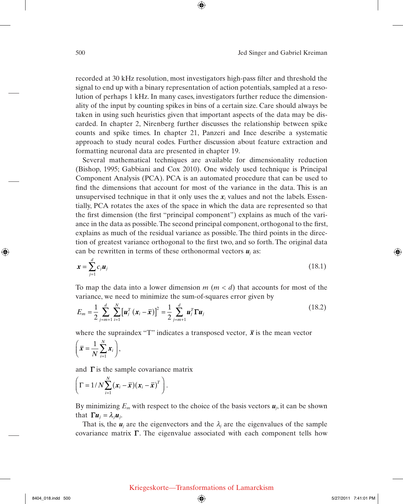recorded at 30 kHz resolution, most investigators high-pass filter and threshold the signal to end up with a binary representation of action potentials, sampled at a resolution of perhaps 1 kHz. In many cases, investigators further reduce the dimensionality of the input by counting spikes in bins of a certain size. Care should always be taken in using such heuristics given that important aspects of the data may be discarded. In chapter 2, Nirenberg further discusses the relationship between spike counts and spike times. In chapter 21, Panzeri and Ince describe a systematic approach to study neural codes. Further discussion about feature extraction and formatting neuronal data are presented in chapter 19.

 $\textcircled{\scriptsize{+}}$ 

Several mathematical techniques are available for dimensionality reduction (Bishop, 1995; Gabbiani and Cox 2010). One widely used technique is Principal Component Analysis (PCA). PCA is an automated procedure that can be used to find the dimensions that account for most of the variance in the data. This is an unsupervised technique in that it only uses the  $x_i$  values and not the labels. Essentially, PCA rotates the axes of the space in which the data are represented so that the first dimension (the first "principal component") explains as much of the variance in the data as possible. The second principal component, orthogonal to the first, explains as much of the residual variance as possible. The third points in the direction of greatest variance orthogonal to the first two, and so forth. The original data can be rewritten in terms of these orthonormal vectors  $u_i$  as:

$$
\mathbf{x} = \sum_{j=1}^{d} c_j \mathbf{u}_j \tag{18.1}
$$

To map the data into a lower dimension  $m (m < d)$  that accounts for most of the variance, we need to minimize the sum-of-squares error given by

$$
E_m = \frac{1}{2} \sum_{j=m+1}^{d} \sum_{i=1}^{N} \left[ \boldsymbol{u}_j^T \left( \boldsymbol{x}_i - \overline{\boldsymbol{x}} \right) \right]^2 = \frac{1}{2} \sum_{j=m+1}^{d} \boldsymbol{u}_j^T \boldsymbol{\Gamma} \boldsymbol{u}_j
$$
(18.2)

where the supraindex "T" indicates a transposed vector,  $\bar{x}$  is the mean vector

$$
\left(\overline{\boldsymbol{x}}=\frac{1}{N}\sum_{i=1}^N\boldsymbol{x}_i\right),\
$$

and  $\Gamma$  is the sample covariance matrix

$$
\left(\Gamma=1/N\sum_{i=1}^N(\mathbf{x}_i-\overline{\mathbf{x}})(\mathbf{x}_i-\overline{\mathbf{x}})^T\right).
$$

By minimizing  $E_m$  with respect to the choice of the basis vectors  $u_i$ , it can be shown that  $\Gamma u_i = \lambda_i u_i$ .

That is, the  $u_i$  are the eigenvectors and the  $\lambda_i$  are the eigenvalues of the sample covariance matrix  $\Gamma$ . The eigenvalue associated with each component tells how

⊕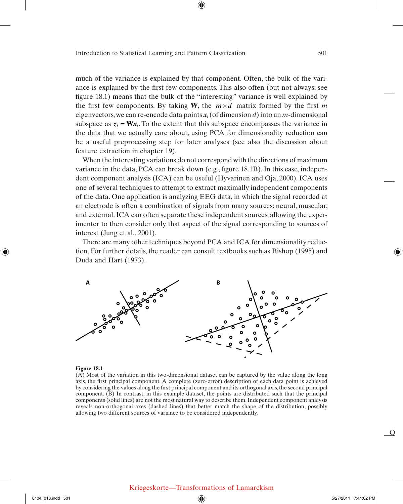much of the variance is explained by that component. Often, the bulk of the variance is explained by the first few components. This also often (but not always; see figure 18.1) means that the bulk of the "interesting*"* variance is well explained by the first few components. By taking **W**, the  $m \times d$  matrix formed by the first m eigenvectors, we can re-encode data points *xi* (of dimension *d*) into an *m*-dimensional subspace as  $z_i = \mathbf{W} x_i$ . To the extent that this subspace encompasses the variance in the data that we actually care about, using PCA for dimensionality reduction can be a useful preprocessing step for later analyses (see also the discussion about feature extraction in chapter 19).

When the interesting variations do not correspond with the directions of maximum variance in the data, PCA can break down (e.g., figure 18.1B). In this case, independent component analysis (ICA) can be useful (Hyvarinen and Oja, 2000). ICA uses one of several techniques to attempt to extract maximally independent components of the data. One application is analyzing EEG data, in which the signal recorded at an electrode is often a combination of signals from many sources: neural, muscular, and external. ICA can often separate these independent sources, allowing the experimenter to then consider only that aspect of the signal corresponding to sources of interest (Jung et al., 2001).

There are many other techniques beyond PCA and ICA for dimensionality reduction. For further details, the reader can consult textbooks such as Bishop (1995) and Duda and Hart (1973).



#### **Figure 18.1**

(A) Most of the variation in this two-dimensional dataset can be captured by the value along the long axis, the first principal component. A complete (zero-error) description of each data point is achieved by considering the values along the first principal component and its orthogonal axis, the second principal component. (B) In contrast, in this example dataset, the points are distributed such that the principal components (solid lines) are not the most natural way to describe them. Independent component analysis reveals non-orthogonal axes (dashed lines) that better match the shape of the distribution, possibly allowing two different sources of variance to be considered independently.

⊕

Q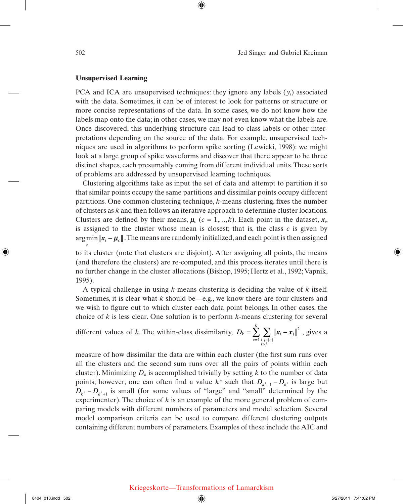## **Unsupervised Learning**

PCA and ICA are unsupervised techniques: they ignore any labels (*yi*) associated with the data. Sometimes, it can be of interest to look for patterns or structure or more concise representations of the data. In some cases, we do not know how the labels map onto the data; in other cases, we may not even know what the labels are. Once discovered, this underlying structure can lead to class labels or other interpretations depending on the source of the data. For example, unsupervised techniques are used in algorithms to perform spike sorting (Lewicki, 1998): we might look at a large group of spike waveforms and discover that there appear to be three distinct shapes, each presumably coming from different individual units. These sorts of problems are addressed by unsupervised learning techniques.

 $\bigoplus$ 

Clustering algorithms take as input the set of data and attempt to partition it so that similar points occupy the same partitions and dissimilar points occupy different partitions. One common clustering technique, *k*-means clustering, fixes the number of clusters as *k* and then follows an iterative approach to determine cluster locations. Clusters are defined by their means,  $\mu_c$  ( $c = 1,...,k$ ). Each point in the dataset,  $x_i$ , is assigned to the cluster whose mean is closest; that is, the class  $c$  is given by arg min  $\|\mathbf{x}_i - \boldsymbol{\mu}_c\|$ . The means are randomly initialized, and each point is then assigned *c*

to its cluster (note that clusters are disjoint). After assigning all points, the means (and therefore the clusters) are re-computed, and this process iterates until there is no further change in the cluster allocations (Bishop, 1995; Hertz et al., 1992; Vapnik, 1995).

A typical challenge in using *k*-means clustering is deciding the value of *k* itself. Sometimes, it is clear what *k* should be—e.g., we know there are four clusters and we wish to figure out to which cluster each data point belongs. In other cases, the choice of *k* is less clear. One solution is to perform *k*-means clustering for several

different values of k. The within-class dissimilarity,  $D_k = \sum_i \sum_i ||\mathbf{x}_i - \mathbf{x}_j||$ *i j <sup>c</sup> i j c*  $=\sum_{i=1}^k\sum_{i=1}^k||x_i \sum_{c=1}\sum_{\substack{i,j\in\{c\}\i>j}}\left\|\boldsymbol{x}_{i}-\boldsymbol{x}_{j}\right\|^{2}$ , gives a

measure of how dissimilar the data are within each cluster (the first sum runs over all the clusters and the second sum runs over all the pairs of points within each cluster). Minimizing  $D_k$  is accomplished trivially by setting  $k$  to the number of data points; however, one can often find a value  $k^*$  such that  $D_{k^*-1} - D_{k^*}$  is large but  $D_{\mu^*} - D_{\mu^*+1}$  is small (for some values of "large" and "small" determined by the experimenter). The choice of *k* is an example of the more general problem of comparing models with different numbers of parameters and model selection. Several model comparison criteria can be used to compare different clustering outputs containing different numbers of parameters. Examples of these include the AIC and

⊕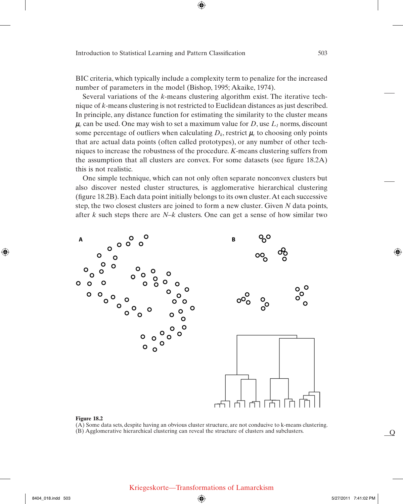BIC criteria, which typically include a complexity term to penalize for the increased number of parameters in the model (Bishop, 1995; Akaike, 1974).

 $\bigoplus$ 

Several variations of the *k*-means clustering algorithm exist. The iterative technique of *k*-means clustering is not restricted to Euclidean distances as just described. In principle, any distance function for estimating the similarity to the cluster means  $\mu_c$  can be used. One may wish to set a maximum value for *D*, use  $L_1$  norms, discount some percentage of outliers when calculating  $D_k$ , restrict  $\mu_c$  to choosing only points that are actual data points (often called prototypes), or any number of other techniques to increase the robustness of the procedure. *K*-means clustering suffers from the assumption that all clusters are convex. For some datasets (see figure 18.2A) this is not realistic.

One simple technique, which can not only often separate nonconvex clusters but also discover nested cluster structures, is agglomerative hierarchical clustering (figure 18.2B). Each data point initially belongs to its own cluster. At each successive step, the two closest clusters are joined to form a new cluster. Given *N* data points, after *k* such steps there are *N–k* clusters. One can get a sense of how similar two



#### **Figure 18.2**

(A) Some data sets, despite having an obvious cluster structure, are not conducive to k-means clustering. (B) Agglomerative hierarchical clustering can reveal the structure of clusters and subclusters.

 $\bigoplus$ 

8404\_018.indd 503 5/27/2011 7:41:02 PM 56/27/2011 7:41:02 PM 56/27/2011 7:41:02 PM

 $\overline{\mathsf{Q}}$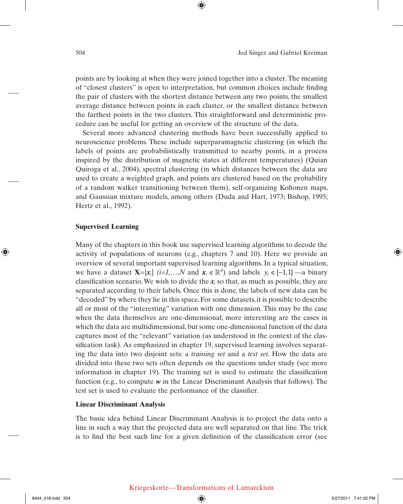points are by looking at when they were joined together into a cluster. The meaning of "closest clusters" is open to interpretation, but common choices include finding the pair of clusters with the shortest distance between any two points, the smallest average distance between points in each cluster, or the smallest distance between the farthest points in the two clusters. This straightforward and deterministic procedure can be useful for getting an overview of the structure of the data.

 $\textcircled{\scriptsize{+}}$ 

Several more advanced clustering methods have been successfully applied to neuroscience problems. These include superparamagnetic clustering (in which the labels of points are probabilistically transmitted to nearby points, in a process inspired by the distribution of magnetic states at different temperatures) (Quian Quiroga et al., 2004), spectral clustering (in which distances between the data are used to create a weighted graph, and points are clustered based on the probability of a random walker transitioning between them), self-organizing Kohonen maps, and Gaussian mixture models, among others (Duda and Hart, 1973; Bishop, 1995; Hertz et al., 1992).

#### **Supervised Learning**

Many of the chapters in this book use supervised learning algorithms to decode the activity of populations of neurons (e.g., chapters 7 and 10). Here we provide an overview of several important supervised learning algorithms. In a typical situation, we have a dataset  $\mathbf{X} = \{x_i\}$  (*i*=1,…,N and  $x_i \in \mathbb{R}^d$ ) and labels  $y_i \in \{-1,1\}$  —a binary classification scenario. We wish to divide the  $x_i$  so that, as much as possible, they are separated according to their labels. Once this is done, the labels of new data can be "decoded" by where they lie in this space. For some datasets, it is possible to describe all or most of the "interesting" variation with one dimension. This may be the case when the data themselves are one-dimensional; more interesting are the cases in which the data are multidimensional, but some one-dimensional function of the data captures most of the "relevant" variation (as understood in the context of the classification task). As emphasized in chapter 19, supervised learning involves separating the data into two disjoint sets: a *training set* and a *test set*. How the data are divided into these two sets often depends on the questions under study (see more information in chapter 19). The training set is used to estimate the classification function (e.g., to compute *w* in the Linear Discriminant Analysis that follows). The test set is used to evaluate the performance of the classifier.

#### **Linear Discriminant Analysis**

The basic idea behind Linear Discriminant Analysis is to project the data onto a line in such a way that the projected data are well separated on that line. The trick is to find the best such line for a given definition of the classification error (see

⊕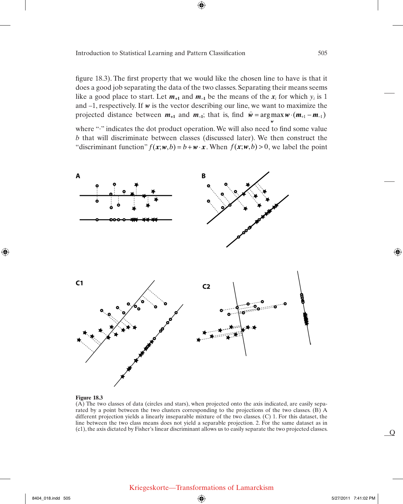figure 18.3). The first property that we would like the chosen line to have is that it does a good job separating the data of the two classes. Separating their means seems like a good place to start. Let  $m_{+1}$  and  $m_{-1}$  be the means of the  $x_i$  for which  $y_i$  is 1 and  $-1$ , respectively. If  $w$  is the vector describing our line, we want to maximize the projected distance between  $m_{+1}$  and  $m_{-1}$ ; that is, find  $\hat{w} = \arg \max w \cdot (m_{+1} - m_{-1})$ 

⊕

where "." indicates the dot product operation. We will also need to find some value *b* that will discriminate between classes (discussed later). We then construct the "discriminant function"  $f(x; w, b) = b + w \cdot x$ . When  $f(x; w, b) > 0$ , we label the point



#### **Figure 18.3**

(A) The two classes of data (circles and stars), when projected onto the axis indicated, are easily separated by a point between the two clusters corresponding to the projections of the two classes. (B) A different projection yields a linearly inseparable mixture of the two classes. (C) 1. For this dataset, the line between the two class means does not yield a separable projection. 2. For the same dataset as in (c1), the axis dictated by Fisher's linear discriminant allows us to easily separate the two projected classes.

*w*

 $\bigoplus$ 

 $\overline{\mathsf{Q}}$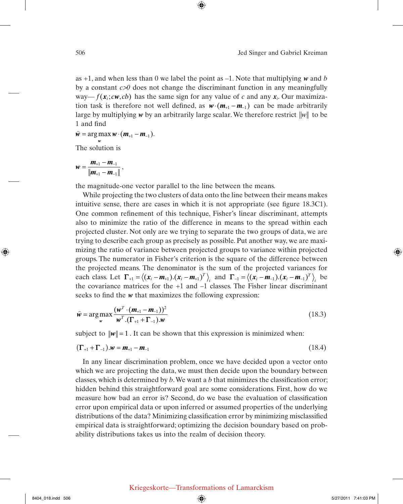as +1, and when less than 0 we label the point as –1. Note that multiplying *w* and *b* by a constant *c>0* does not change the discriminant function in any meaningfully way—  $f(x_i; c w, cb)$  has the same sign for any value of c and any  $x_i$ . Our maximization task is therefore not well defined, as  $w \cdot (m_{+1} - m_{-1})$  can be made arbitrarily large by multiplying *w* by an arbitrarily large scalar. We therefore restrict  $||w||$  to be 1 and find

⊕

 $\hat{\mathbf{w}} = \arg \max \mathbf{w} \cdot (\mathbf{m}_{+1} - \mathbf{m}_{-1}).$ 

,

*w* The solution is

$$
w = \frac{m_{+1} - m_{-1}}{\|m_{+1} - m_{-1}\|}
$$

the magnitude-one vector parallel to the line between the means.

While projecting the two clusters of data onto the line between their means makes intuitive sense, there are cases in which it is not appropriate (see figure 18.3C1). One common refinement of this technique, Fisher's linear discriminant, attempts also to minimize the ratio of the difference in means to the spread within each projected cluster. Not only are we trying to separate the two groups of data, we are trying to describe each group as precisely as possible. Put another way, we are maximizing the ratio of variance between projected groups to variance within projected groups. The numerator in Fisher's criterion is the square of the difference between the projected means. The denominator is the sum of the projected variances for each class. Let  $\Gamma_{+1} = \langle (x_i - m_{+1}).(x_i - m_{+1})^T \rangle_i$  and  $\Gamma_{-1} = \langle (x_i - m_{-1}).(x_i - m_{-1})^T \rangle_i$  be the covariance matrices for the  $+1$  and  $-1$  classes. The Fisher linear discriminant seeks to find the *w* that maximizes the following expression:

$$
\widehat{\mathbf{w}} = \underset{\mathbf{w}}{\arg \max} \frac{(\mathbf{w}^T \cdot (\mathbf{m}_{+1} - \mathbf{m}_{-1}))^2}{\mathbf{w}^T \cdot (\Gamma_{+1} + \Gamma_{-1}) \cdot \mathbf{w}}
$$
(18.3)

subject to  $\|\mathbf{w}\| = 1$ . It can be shown that this expression is minimized when:

$$
(\Gamma_{+1} + \Gamma_{-1}).w = m_{+1} - m_{-1}
$$
 (18.4)

In any linear discrimination problem, once we have decided upon a vector onto which we are projecting the data, we must then decide upon the boundary between classes, which is determined by *b*. We want a *b* that minimizes the classification error; hidden behind this straightforward goal are some considerations. First, how do we measure how bad an error is? Second, do we base the evaluation of classification error upon empirical data or upon inferred or assumed properties of the underlying distributions of the data? Minimizing classification error by minimizing misclassified empirical data is straightforward; optimizing the decision boundary based on probability distributions takes us into the realm of decision theory.

⊕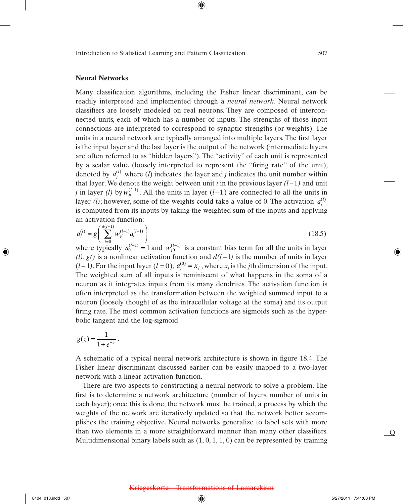## **Neural Networks**

Many classification algorithms, including the Fisher linear discriminant, can be readily interpreted and implemented through a *neural network*. Neural network classifiers are loosely modeled on real neurons. They are composed of interconnected units, each of which has a number of inputs. The strengths of those input connections are interpreted to correspond to synaptic strengths (or weights). The units in a neural network are typically arranged into multiple layers. The first layer is the input layer and the last layer is the output of the network (intermediate layers are often referred to as "hidden layers"). The "activity" of each unit is represented by a scalar value (loosely interpreted to represent the "firing rate" of the unit), denoted by  $a_j^{(l)}$  where (*l*) indicates the layer and *j* indicates the unit number within that layer. We denote the weight between unit *i* in the previous layer  $(l-1)$  and unit *j* in layer *(l)* by  $w_{ji}^{(l-1)}$ . All the units in layer  $(l-1)$  are connected to all the units in layer (*l*); however, some of the weights could take a value of 0. The activation  $a_j^{(l)}$ is computed from its inputs by taking the weighted sum of the inputs and applying an activation function:

⊕

$$
a_j^{(l)} = g\left(\sum_{i=0}^{d(l-1)} w_{ji}^{(l-1)} a_i^{(l-1)}\right)
$$
(18.5)

where typically  $a_0^{(l-1)} = 1$  and  $w_{j0}^{(l-1)}$  is a constant bias term for all the units in layer  $(l)$ ,  $g(l)$  is a nonlinear activation function and  $d(l-1)$  is the number of units in layer  $(l-1)$ . For the input layer  $(l = 0)$ ,  $a_j^{(0)} = x_j$ , where  $x_j$  is the *j*th dimension of the input. The weighted sum of all inputs is reminiscent of what happens in the soma of a neuron as it integrates inputs from its many dendrites. The activation function is often interpreted as the transformation between the weighted summed input to a neuron (loosely thought of as the intracellular voltage at the soma) and its output firing rate. The most common activation functions are sigmoids such as the hyperbolic tangent and the log-sigmoid

$$
g(z) = \frac{1}{1+e^{-z}}.
$$

A schematic of a typical neural network architecture is shown in figure 18.4. The Fisher linear discriminant discussed earlier can be easily mapped to a two-layer network with a linear activation function.

There are two aspects to constructing a neural network to solve a problem. The first is to determine a network architecture (number of layers, number of units in each layer); once this is done, the network must be trained, a process by which the weights of the network are iteratively updated so that the network better accomplishes the training objective. Neural networks generalize to label sets with more than two elements in a more straightforward manner than many other classifiers. Multidimensional binary labels such as  $(1, 0, 1, 1, 0)$  can be represented by training

⊕

 $\overline{O}$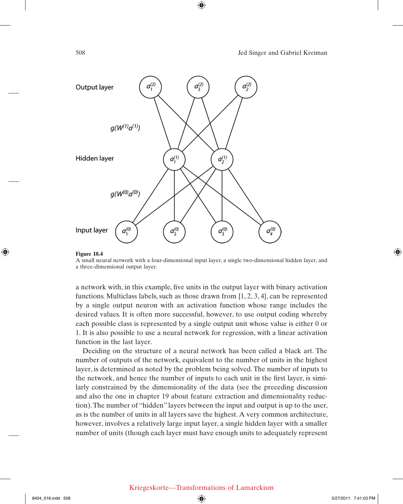508 Jed Singer and Gabriel Kreiman



 $\bigoplus$ 

#### **Figure 18.4**

 $\bigoplus$ 

A small neural network with a four-dimensional input layer, a single two-dimensional hidden layer, and a three-dimensional output layer.

a network with, in this example, five units in the output layer with binary activation functions. Multiclass labels, such as those drawn from {1, 2, 3, 4}, can be represented by a single output neuron with an activation function whose range includes the desired values. It is often more successful, however, to use output coding whereby each possible class is represented by a single output unit whose value is either 0 or 1. It is also possible to use a neural network for regression, with a linear activation function in the last layer.

Deciding on the structure of a neural network has been called a black art. The number of outputs of the network, equivalent to the number of units in the highest layer, is determined as noted by the problem being solved. The number of inputs to the network, and hence the number of inputs to each unit in the first layer, is similarly constrained by the dimensionality of the data (see the preceding discussion and also the one in chapter 19 about feature extraction and dimensionality reduction). The number of "hidden" layers between the input and output is up to the user, as is the number of units in all layers save the highest. A very common architecture, however, involves a relatively large input layer, a single hidden layer with a smaller number of units (though each layer must have enough units to adequately represent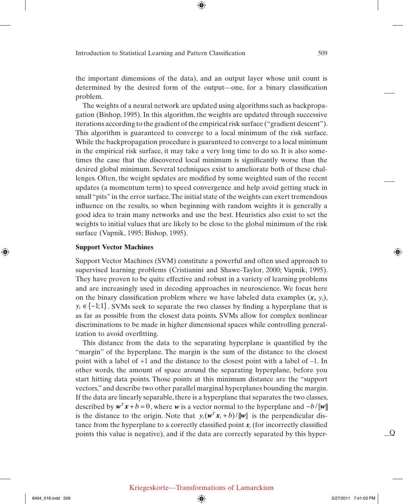the important dimensions of the data), and an output layer whose unit count is determined by the desired form of the output—one, for a binary classification problem.

 $\textcircled{\scriptsize{+}}$ 

The weights of a neural network are updated using algorithms such as backpropagation (Bishop, 1995). In this algorithm, the weights are updated through successive iterations according to the gradient of the empirical risk surface ("gradient descent"). This algorithm is guaranteed to converge to a local minimum of the risk surface. While the backpropagation procedure is guaranteed to converge to a local minimum in the empirical risk surface, it may take a very long time to do so. It is also sometimes the case that the discovered local minimum is significantly worse than the desired global minimum. Several techniques exist to ameliorate both of these challenges. Often, the weight updates are modified by some weighted sum of the recent updates (a momentum term) to speed convergence and help avoid getting stuck in small "pits" in the error surface. The initial state of the weights can exert tremendous influence on the results, so when beginning with random weights it is generally a good idea to train many networks and use the best. Heuristics also exist to set the weights to initial values that are likely to be close to the global minimum of the risk surface (Vapnik, 1995; Bishop, 1995).

## **Support Vector Machines**

Support Vector Machines (SVM) constitute a powerful and often used approach to supervised learning problems (Cristianini and Shawe-Taylor, 2000; Vapnik, 1995). They have proven to be quite effective and robust in a variety of learning problems and are increasingly used in decoding approaches in neuroscience. We focus here on the binary classification problem where we have labeled data examples  $(x_i, y_i)$ ,  $y_i \in \{-1, 1\}$ . SVMs seek to separate the two classes by finding a hyperplane that is as far as possible from the closest data points. SVMs allow for complex nonlinear discriminations to be made in higher dimensional spaces while controlling generalization to avoid overfitting.

This distance from the data to the separating hyperplane is quantified by the "margin" of the hyperplane. The margin is the sum of the distance to the closest point with a label of +1 and the distance to the closest point with a label of –1. In other words, the amount of space around the separating hyperplane, before you start hitting data points. Those points at this minimum distance are the "support vectors," and describe two other parallel marginal hyperplanes bounding the margin. If the data are linearly separable, there is a hyperplane that separates the two classes, described by  $w^T x + b = 0$ , where *w* is a vector normal to the hyperplane and  $-b/\Vert w \Vert$ is the distance to the origin. Note that  $y_i(w^T x_i + b) / ||w||$  is the perpendicular distance from the hyperplane to a correctly classified point  $x_i$  (for incorrectly classified points this value is negative), and if the data are correctly separated by this hyper-

⊕

Q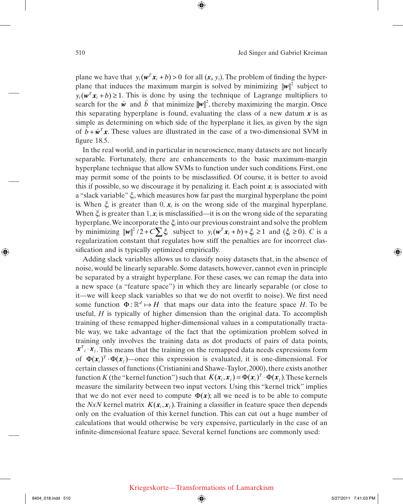510 **Jed Singer and Gabriel Kreiman** 

plane we have that  $y_i(w^T x_i + b) > 0$  for all  $(x_i, y_i)$ . The problem of finding the hyperplane that induces the maximum margin is solved by minimizing  $\|\boldsymbol{w}\|^2$  subject to  $y_i(\mathbf{w}^T \mathbf{x}_i + b) \ge 1$ . This is done by using the technique of Lagrange multipliers to  $y_i(\mathbf{w} \cdot \mathbf{x}_i + v) \ge 1$ . This is done by using the technique of Lagrange multipliers to search for the  $\hat{\mathbf{w}}$  and  $\hat{b}$  that minimize  $\|\mathbf{w}\|^2$ , thereby maximizing the margin. Once this separating hyperplane is found, evaluating the class of a new datum  $\boldsymbol{x}$  is as simple as determining on which side of the hyperplane it lies, as given by the sign of  $b + \hat{\mathbf{w}}^T \mathbf{x}$ . These values are illustrated in the case of a two-dimensional SVM in figure 18.5.

 $\bigoplus$ 

In the real world, and in particular in neuroscience, many datasets are not linearly separable. Fortunately, there are enhancements to the basic maximum-margin hyperplane technique that allow SVMs to function under such conditions. First, one may permit some of the points to be misclassified. Of course, it is better to avoid this if possible, so we discourage it by penalizing it. Each point  $x_i$  is associated with a "slack variable" *ξi*, which measures how far past the marginal hyperplane the point is. When  $\xi$ <sup>*i*</sup> is greater than 0,  $x$ <sup>*i*</sup> is on the wrong side of the marginal hyperplane. When  $\xi$ <sup>*i*</sup> is greater than 1,  $\vec{x}$ <sup>*i*</sup> is misclassified—it is on the wrong side of the separating hyperplane. We incorporate the *ξi* into our previous constraint and solve the problem by minimizing  $\|\boldsymbol{w}\|^2 / 2 + C \sum \xi_i$  subject to  $y_i(\boldsymbol{w}^T \boldsymbol{x}_i + b) + \xi_i \ge 1$  and  $(\xi_i \ge 0)$ . *C* is a regularization constant that regulates how stiff the penalties are for incorrect classification and is typically optimized empirically.

Adding slack variables allows us to classify noisy datasets that, in the absence of noise, would be linearly separable. Some datasets, however, cannot even in principle be separated by a straight hyperplane. For these cases, we can remap the data into a new space (a "feature space") in which they are linearly separable (or close to it—we will keep slack variables so that we do not overfit to noise). We first need some function  $\Phi : \mathbb{R}^d \mapsto H$  that maps our data into the feature space *H*. To be useful, *H* is typically of higher dimension than the original data. To accomplish training of these remapped higher-dimensional values in a computationally tractable way, we take advantage of the fact that the optimization problem solved in training only involves the training data as dot products of pairs of data points,  $x^T$  *i*  $\cdot$   $\boldsymbol{x}_j$ . This means that the training on the remapped data needs expressions form of  $\Phi(\mathbf{x}_i)^T \cdot \Phi(\mathbf{x}_i)$  – once this expression is evaluated, it is one-dimensional. For certain classes of functions (Cristianini and Shawe-Taylor, 2000), there exists another function *K* (the "kernel function") such that  $K(\mathbf{x}_i, \mathbf{x}_i) = \Phi(\mathbf{x}_i)^T \cdot \Phi(\mathbf{x}_i)$ . These kernels measure the similarity between two input vectors. Using this "kernel trick" implies that we do not ever need to compute  $\Phi(x)$ ; all we need is to be able to compute the *NxN* kernel matrix  $K(x_i, x_j)$ . Training a classifier in feature space then depends only on the evaluation of this kernel function. This can cut out a huge number of calculations that would otherwise be very expensive, particularly in the case of an infinite-dimensional feature space. Several kernel functions are commonly used:

⊕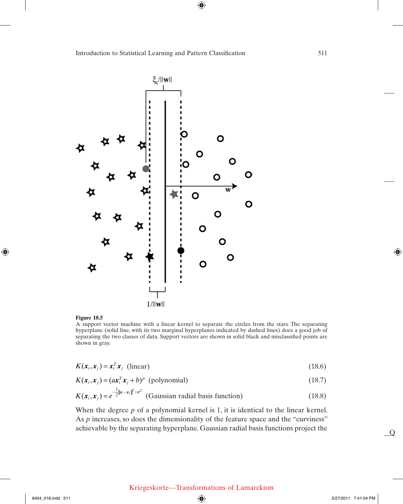$\bigoplus$ 



#### **Figure 18.5**

A support vector machine with a linear kernel to separate the circles from the stars. The separating hyperplane (solid line, with its two marginal hyperplanes indicated by dashed lines) does a good job of separating the two classes of data. Support vectors are shown in solid black and misclassified points are shown in gray.

$$
K(\mathbf{x}_i, \mathbf{x}_j) = \mathbf{x}_i^T \mathbf{x}_j \quad \text{(linear)} \tag{18.6}
$$

$$
K(\mathbf{x}_i, \mathbf{x}_j) = (a\mathbf{x}_i^T \mathbf{x}_j + b)^p \text{ (polynomial)}
$$
\n(18.7)

$$
K(\mathbf{x}_i, \mathbf{x}_j) = e^{-\frac{1}{2} ||\mathbf{x}_i - \mathbf{x}_j||^2 / \sigma^2}
$$
 (Gaussian radial basis function) \t(18.8)

When the degree *p* of a polynomial kernel is 1, it is identical to the linear kernel. As *p* increases, so does the dimensionality of the feature space and the "curviness" achievable by the separating hyperplane. Gaussian radial basis functions project the

 $\bigoplus$ 

 $\overline{\mathbf{Q}}$ 

 $\bigoplus$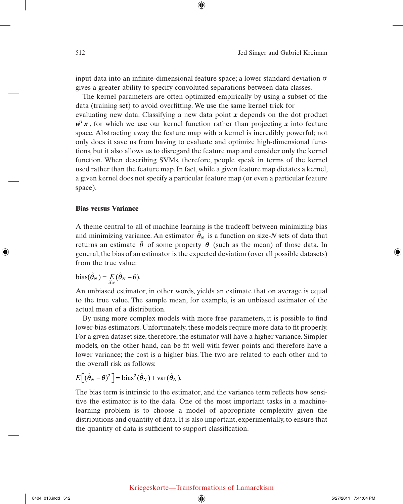input data into an infinite-dimensional feature space; a lower standard deviation  $\sigma$ gives a greater ability to specify convoluted separations between data classes.

⊕

The kernel parameters are often optimized empirically by using a subset of the data (training set) to avoid overfitting. We use the same kernel trick for evaluating new data. Classifying a new data point *x* depends on the dot product  $\hat{\mathbf{w}}^T \mathbf{x}$ , for which we use our kernel function rather than projecting x into feature space. Abstracting away the feature map with a kernel is incredibly powerful; not only does it save us from having to evaluate and optimize high-dimensional functions, but it also allows us to disregard the feature map and consider only the kernel function. When describing SVMs, therefore, people speak in terms of the kernel used rather than the feature map. In fact, while a given feature map dictates a kernel, a given kernel does not specify a particular feature map (or even a particular feature space).

## **Bias versus Variance**

A theme central to all of machine learning is the tradeoff between minimizing bias A theme central to an of machine rearning is the tradeon between minimizing bias<br>and minimizing variance. An estimator  $\hat{\theta}_N$  is a function on size-*N* sets of data that returns an estimate  $\hat{\theta}$  of some property  $\theta$  (such as the mean) of those data. In general, the bias of an estimator is the expected deviation (over all possible datasets) from the true value:

 $bias(\hat{\theta}_N) = E(X \hat{\theta}_N - \theta).$ 

An unbiased estimator, in other words, yields an estimate that on average is equal to the true value. The sample mean, for example, is an unbiased estimator of the actual mean of a distribution.

By using more complex models with more free parameters, it is possible to find lower-bias estimators. Unfortunately, these models require more data to fit properly. For a given dataset size, therefore, the estimator will have a higher variance. Simpler models, on the other hand, can be fit well with fewer points and therefore have a lower variance; the cost is a higher bias. The two are related to each other and to the overall risk as follows:

 $E[(\hat{\theta}_N - \theta)^2] = \text{bias}^2(\hat{\theta}_N) + \text{var}(\hat{\theta}_N).$ 

The bias term is intrinsic to the estimator, and the variance term reflects how sensitive the estimator is to the data. One of the most important tasks in a machinelearning problem is to choose a model of appropriate complexity given the distributions and quantity of data. It is also important, experimentally, to ensure that the quantity of data is sufficient to support classification.

⊕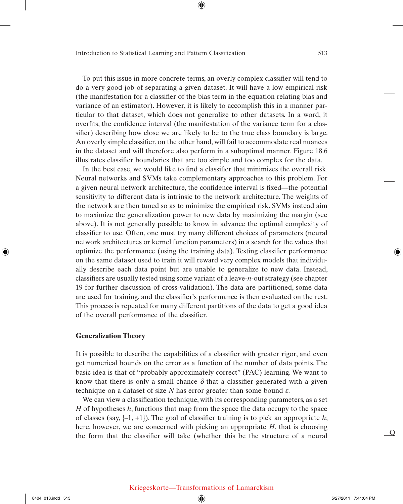To put this issue in more concrete terms, an overly complex classifier will tend to do a very good job of separating a given dataset. It will have a low empirical risk (the manifestation for a classifier of the bias term in the equation relating bias and variance of an estimator). However, it is likely to accomplish this in a manner particular to that dataset, which does not generalize to other datasets. In a word, it overfits; the confidence interval (the manifestation of the variance term for a classifier) describing how close we are likely to be to the true class boundary is large. An overly simple classifier, on the other hand, will fail to accommodate real nuances in the dataset and will therefore also perform in a suboptimal manner. Figure 18.6 illustrates classifier boundaries that are too simple and too complex for the data.

 $\textcircled{\scriptsize{+}}$ 

In the best case, we would like to find a classifier that minimizes the overall risk. Neural networks and SVMs take complementary approaches to this problem. For a given neural network architecture, the confidence interval is fixed—the potential sensitivity to different data is intrinsic to the network architecture. The weights of the network are then tuned so as to minimize the empirical risk. SVMs instead aim to maximize the generalization power to new data by maximizing the margin (see above). It is not generally possible to know in advance the optimal complexity of classifier to use. Often, one must try many different choices of parameters (neural network architectures or kernel function parameters) in a search for the values that optimize the performance (using the training data). Testing classifier performance on the same dataset used to train it will reward very complex models that individually describe each data point but are unable to generalize to new data. Instead, classifiers are usually tested using some variant of a leave-*n*-out strategy (see chapter 19 for further discussion of cross-validation). The data are partitioned, some data are used for training, and the classifier's performance is then evaluated on the rest. This process is repeated for many different partitions of the data to get a good idea of the overall performance of the classifier.

#### **Generalization Theory**

It is possible to describe the capabilities of a classifier with greater rigor, and even get numerical bounds on the error as a function of the number of data points. The basic idea is that of "probably approximately correct" (PAC) learning. We want to know that there is only a small chance  $\delta$  that a classifier generated with a given technique on a dataset of size *N* has error greater than some bound *ε*.

We can view a classification technique, with its corresponding parameters, as a set *H* of hypotheses *h*, functions that map from the space the data occupy to the space of classes (say,  $\{-1, +1\}$ ). The goal of classifier training is to pick an appropriate *h*; here, however, we are concerned with picking an appropriate *H*, that is choosing the form that the classifier will take (whether this be the structure of a neural

⊕

 $\overline{\mathsf{Q}}$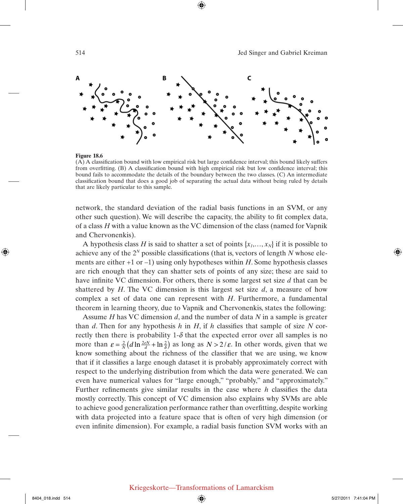

⊕



(A) A classification bound with low empirical risk but large confidence interval; this bound likely suffers from overfitting. (B) A classification bound with high empirical risk but low confidence interval; this bound fails to accommodate the details of the boundary between the two classes. (C) An intermediate classification bound that does a good job of separating the actual data without being ruled by details that are likely particular to this sample.

network, the standard deviation of the radial basis functions in an SVM, or any other such question). We will describe the capacity, the ability to fit complex data, of a class *H* with a value known as the VC dimension of the class (named for Vapnik and Chervonenkis).

A hypothesis class *H* is said to shatter a set of points  $\{x_1, \ldots, x_N\}$  if it is possible to achieve any of the  $2^N$  possible classifications (that is, vectors of length N whose elements are either +1 or –1) using only hypotheses within *H*. Some hypothesis classes are rich enough that they can shatter sets of points of any size; these are said to have infinite VC dimension. For others, there is some largest set size *d* that can be shattered by *H*. The VC dimension is this largest set size *d*, a measure of how complex a set of data one can represent with *H*. Furthermore, a fundamental theorem in learning theory, due to Vapnik and Chervonenkis, states the following:

Assume *H* has VC dimension *d*, and the number of data *N* in a sample is greater than *d*. Then for any hypothesis *h* in *H*, if *h* classifies that sample of size *N* correctly then there is probability  $1-\delta$  that the expected error over all samples is no more than  $\varepsilon = \frac{2}{N} (d \ln \frac{2eN}{d} + \ln \frac{2}{\delta})$  as long as  $N > 2/\varepsilon$ . In other words, given that we know something about the richness of the classifier that we are using, we know that if it classifies a large enough dataset it is probably approximately correct with respect to the underlying distribution from which the data were generated. We can even have numerical values for "large enough," "probably," and "approximately." Further refinements give similar results in the case where *h* classifies the data mostly correctly. This concept of VC dimension also explains why SVMs are able to achieve good generalization performance rather than overfitting, despite working with data projected into a feature space that is often of very high dimension (or even infinite dimension). For example, a radial basis function SVM works with an

⊕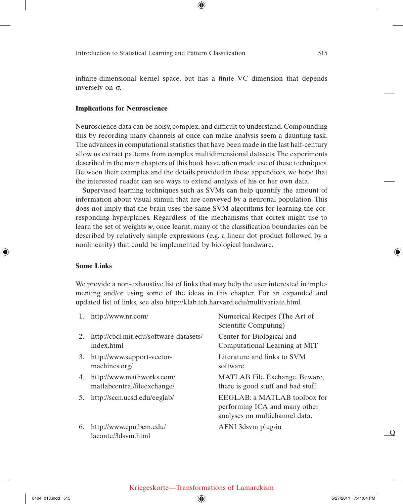$\bigoplus$ 

#### **Implications for Neuroscience**

Neuroscience data can be noisy, complex, and difficult to understand. Compounding this by recording many channels at once can make analysis seem a daunting task. The advances in computational statistics that have been made in the last half-century allow us extract patterns from complex multidimensional datasets. The experiments described in the main chapters of this book have often made use of these techniques. Between their examples and the details provided in these appendices, we hope that the interested reader can see ways to extend analysis of his or her own data.

Supervised learning techniques such as SVMs can help quantify the amount of information about visual stimuli that are conveyed by a neuronal population. This does not imply that the brain uses the same SVM algorithms for learning the corresponding hyperplanes. Regardless of the mechanisms that cortex might use to learn the set of weights *w*, once learnt, many of the classification boundaries can be described by relatively simple expressions (e.g. a linear dot product followed by a nonlinearity) that could be implemented by biological hardware.

## **Some Links**

⊕

We provide a non-exhaustive list of links that may help the user interested in implementing and/or using some of the ideas in this chapter. For an expanded and updated list of links, see also http://klab.tch.harvard.edu/multivariate.html.

| 1. | http://www.nr.com/                                       | Numerical Recipes (The Art of<br>Scientific Computing)                                          |
|----|----------------------------------------------------------|-------------------------------------------------------------------------------------------------|
| 2. | http://cbcl.mit.edu/software-datasets/<br>index.html     | Center for Biological and<br>Computational Learning at MIT                                      |
| 3. | http://www.support-vector-<br>machines.org/              | Literature and links to SVM<br>software                                                         |
| 4. | http://www.mathworks.com/<br>matlabcentral/fileexchange/ | MATLAB File Exchange. Beware,<br>there is good stuff and bad stuff.                             |
| 5. | http://sccn.ucsd.edu/eeglab/                             | EEGLAB: a MATLAB toolbox for<br>performing ICA and many other<br>analyses on multichannel data. |
| 6. | http://www.cpu.bcm.edu/<br>laconte/3dsvm.html            | AFNI 3dsvm plug-in                                                                              |

 $\overline{Q}$